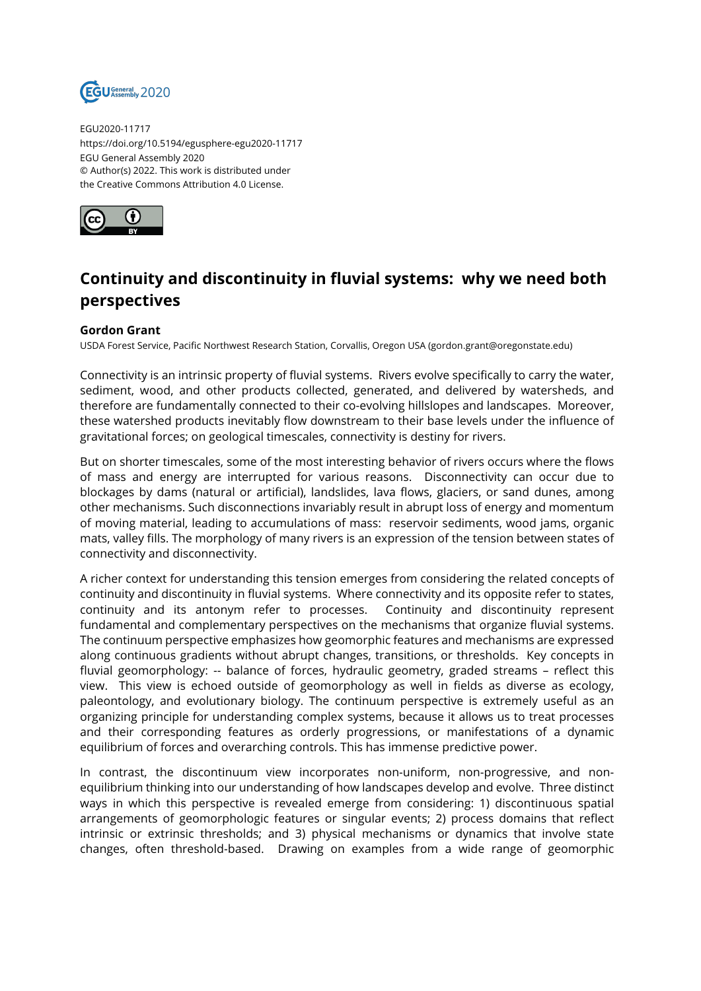

EGU2020-11717 https://doi.org/10.5194/egusphere-egu2020-11717 EGU General Assembly 2020 © Author(s) 2022. This work is distributed under the Creative Commons Attribution 4.0 License.



## **Continuity and discontinuity in fluvial systems: why we need both perspectives**

## **Gordon Grant**

USDA Forest Service, Pacific Northwest Research Station, Corvallis, Oregon USA (gordon.grant@oregonstate.edu)

Connectivity is an intrinsic property of fluvial systems. Rivers evolve specifically to carry the water, sediment, wood, and other products collected, generated, and delivered by watersheds, and therefore are fundamentally connected to their co-evolving hillslopes and landscapes. Moreover, these watershed products inevitably flow downstream to their base levels under the influence of gravitational forces; on geological timescales, connectivity is destiny for rivers.

But on shorter timescales, some of the most interesting behavior of rivers occurs where the flows of mass and energy are interrupted for various reasons. Disconnectivity can occur due to blockages by dams (natural or artificial), landslides, lava flows, glaciers, or sand dunes, among other mechanisms. Such disconnections invariably result in abrupt loss of energy and momentum of moving material, leading to accumulations of mass: reservoir sediments, wood jams, organic mats, valley fills. The morphology of many rivers is an expression of the tension between states of connectivity and disconnectivity.

A richer context for understanding this tension emerges from considering the related concepts of continuity and discontinuity in fluvial systems. Where connectivity and its opposite refer to states, continuity and its antonym refer to processes. Continuity and discontinuity represent fundamental and complementary perspectives on the mechanisms that organize fluvial systems. The continuum perspective emphasizes how geomorphic features and mechanisms are expressed along continuous gradients without abrupt changes, transitions, or thresholds. Key concepts in fluvial geomorphology: -- balance of forces, hydraulic geometry, graded streams – reflect this view. This view is echoed outside of geomorphology as well in fields as diverse as ecology, paleontology, and evolutionary biology. The continuum perspective is extremely useful as an organizing principle for understanding complex systems, because it allows us to treat processes and their corresponding features as orderly progressions, or manifestations of a dynamic equilibrium of forces and overarching controls. This has immense predictive power.

In contrast, the discontinuum view incorporates non-uniform, non-progressive, and nonequilibrium thinking into our understanding of how landscapes develop and evolve. Three distinct ways in which this perspective is revealed emerge from considering: 1) discontinuous spatial arrangements of geomorphologic features or singular events; 2) process domains that reflect intrinsic or extrinsic thresholds; and 3) physical mechanisms or dynamics that involve state changes, often threshold-based. Drawing on examples from a wide range of geomorphic